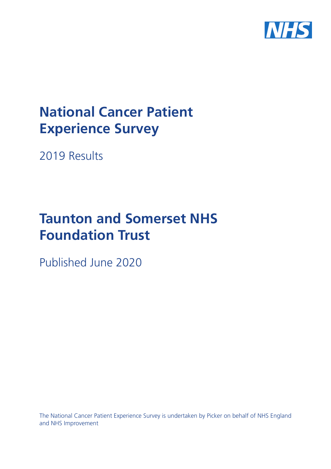

# **National Cancer Patient Experience Survey**

2019 Results

# **Taunton and Somerset NHS Foundation Trust**

Published June 2020

The National Cancer Patient Experience Survey is undertaken by Picker on behalf of NHS England and NHS Improvement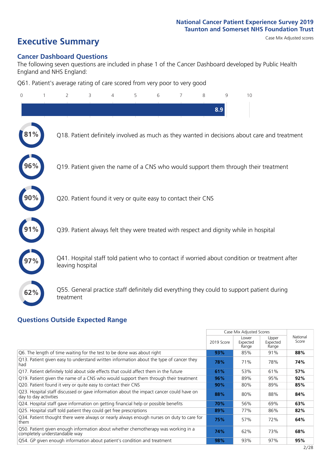# **Executive Summary** Case Mix Adjusted scores

### **Cancer Dashboard Questions**

The following seven questions are included in phase 1 of the Cancer Dashboard developed by Public Health England and NHS England:

Q61. Patient's average rating of care scored from very poor to very good

| $\Omega$ | $\overline{2}$                                                | 3 | 4 | 5 | 6 | 7 | 8 | 9   | 10                                                                                            |
|----------|---------------------------------------------------------------|---|---|---|---|---|---|-----|-----------------------------------------------------------------------------------------------|
|          |                                                               |   |   |   |   |   |   | 8.9 |                                                                                               |
|          |                                                               |   |   |   |   |   |   |     | Q18. Patient definitely involved as much as they wanted in decisions about care and treatment |
| 96%      |                                                               |   |   |   |   |   |   |     | Q19. Patient given the name of a CNS who would support them through their treatment           |
|          | Q20. Patient found it very or quite easy to contact their CNS |   |   |   |   |   |   |     |                                                                                               |
|          |                                                               |   |   |   |   |   |   |     | Q39. Patient always felt they were treated with respect and dignity while in hospital         |
|          | leaving hospital                                              |   |   |   |   |   |   |     | Q41. Hospital staff told patient who to contact if worried about condition or treatment after |
| 62%      | treatment                                                     |   |   |   |   |   |   |     | Q55. General practice staff definitely did everything they could to support patient during    |

### **Questions Outside Expected Range**

|                                                                                                                    |            | Case Mix Adjusted Scores   |                            |                   |
|--------------------------------------------------------------------------------------------------------------------|------------|----------------------------|----------------------------|-------------------|
|                                                                                                                    | 2019 Score | Lower<br>Expected<br>Range | Upper<br>Expected<br>Range | National<br>Score |
| Q6. The length of time waiting for the test to be done was about right                                             | 93%        | 85%                        | 91%                        | 88%               |
| Q13. Patient given easy to understand written information about the type of cancer they<br>had                     | 78%        | 71%                        | 78%                        | 74%               |
| Q17. Patient definitely told about side effects that could affect them in the future                               | 61%        | 53%                        | 61%                        | 57%               |
| Q19. Patient given the name of a CNS who would support them through their treatment                                | 96%        | 89%                        | 95%                        | 92%               |
| Q20. Patient found it very or quite easy to contact their CNS                                                      | 90%        | 80%                        | 89%                        | 85%               |
| Q23. Hospital staff discussed or gave information about the impact cancer could have on<br>day to day activities   | 88%        | 80%                        | 88%                        | 84%               |
| Q24. Hospital staff gave information on getting financial help or possible benefits                                | 70%        | 56%                        | 69%                        | 63%               |
| Q25. Hospital staff told patient they could get free prescriptions                                                 | 89%        | 77%                        | 86%                        | 82%               |
| Q34. Patient thought there were always or nearly always enough nurses on duty to care for<br>them                  | 75%        | 57%                        | 72%                        | 64%               |
| Q50. Patient given enough information about whether chemotherapy was working in a<br>completely understandable way | 74%        | 62%                        | 73%                        | 68%               |
| Q54. GP given enough information about patient's condition and treatment                                           | 98%        | 93%                        | 97%                        | 95%               |
|                                                                                                                    |            |                            |                            | 2/28              |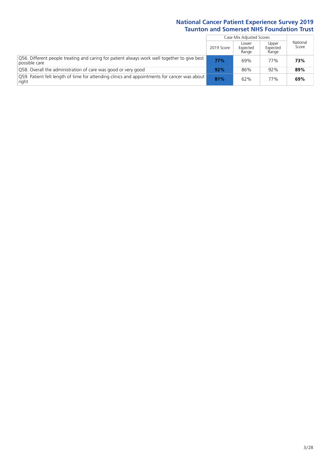|                                                                                                               |            | Case Mix Adjusted Scores   |                            |                   |
|---------------------------------------------------------------------------------------------------------------|------------|----------------------------|----------------------------|-------------------|
|                                                                                                               | 2019 Score | Lower<br>Expected<br>Range | Upper<br>Expected<br>Range | National<br>Score |
| Q56. Different people treating and caring for patient always work well together to give best<br>possible care | 77%        | 69%                        | 77%                        | 73%               |
| Q58. Overall the administration of care was good or very good                                                 | 92%        | 86%                        | 92%                        | 89%               |
| O59. Patient felt length of time for attending clinics and appointments for cancer was about<br>right         | 81%        | 62%                        | 77%                        | 69%               |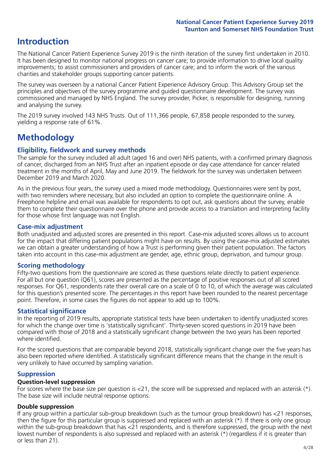# **Introduction**

The National Cancer Patient Experience Survey 2019 is the ninth iteration of the survey first undertaken in 2010. It has been designed to monitor national progress on cancer care; to provide information to drive local quality improvements; to assist commissioners and providers of cancer care; and to inform the work of the various charities and stakeholder groups supporting cancer patients.

The survey was overseen by a national Cancer Patient Experience Advisory Group. This Advisory Group set the principles and objectives of the survey programme and guided questionnaire development. The survey was commissioned and managed by NHS England. The survey provider, Picker, is responsible for designing, running and analysing the survey.

The 2019 survey involved 143 NHS Trusts. Out of 111,366 people, 67,858 people responded to the survey, yielding a response rate of 61%.

# **Methodology**

### **Eligibility, fieldwork and survey methods**

The sample for the survey included all adult (aged 16 and over) NHS patients, with a confirmed primary diagnosis of cancer, discharged from an NHS Trust after an inpatient episode or day case attendance for cancer related treatment in the months of April, May and June 2019. The fieldwork for the survey was undertaken between December 2019 and March 2020.

As in the previous four years, the survey used a mixed mode methodology. Questionnaires were sent by post, with two reminders where necessary, but also included an option to complete the questionnaire online. A Freephone helpline and email was available for respondents to opt out, ask questions about the survey, enable them to complete their questionnaire over the phone and provide access to a translation and interpreting facility for those whose first language was not English.

### **Case-mix adjustment**

Both unadjusted and adjusted scores are presented in this report. Case-mix adjusted scores allows us to account for the impact that differing patient populations might have on results. By using the case-mix adjusted estimates we can obtain a greater understanding of how a Trust is performing given their patient population. The factors taken into account in this case-mix adjustment are gender, age, ethnic group, deprivation, and tumour group.

### **Scoring methodology**

Fifty-two questions from the questionnaire are scored as these questions relate directly to patient experience. For all but one question (Q61), scores are presented as the percentage of positive responses out of all scored responses. For Q61, respondents rate their overall care on a scale of 0 to 10, of which the average was calculated for this question's presented score. The percentages in this report have been rounded to the nearest percentage point. Therefore, in some cases the figures do not appear to add up to 100%.

### **Statistical significance**

In the reporting of 2019 results, appropriate statistical tests have been undertaken to identify unadjusted scores for which the change over time is 'statistically significant'. Thirty-seven scored questions in 2019 have been compared with those of 2018 and a statistically significant change between the two years has been reported where identified.

For the scored questions that are comparable beyond 2018, statistically significant change over the five years has also been reported where identified. A statistically significant difference means that the change in the result is very unlikely to have occurred by sampling variation.

### **Suppression**

### **Question-level suppression**

For scores where the base size per question is  $<$ 21, the score will be suppressed and replaced with an asterisk (\*). The base size will include neutral response options.

### **Double suppression**

If any group within a particular sub-group breakdown (such as the tumour group breakdown) has <21 responses, then the figure for this particular group is suppressed and replaced with an asterisk (\*). If there is only one group within the sub-group breakdown that has <21 respondents, and is therefore suppressed, the group with the next lowest number of respondents is also supressed and replaced with an asterisk (\*) (regardless if it is greater than or less than 21).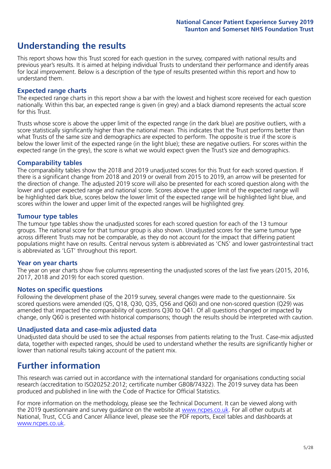# **Understanding the results**

This report shows how this Trust scored for each question in the survey, compared with national results and previous year's results. It is aimed at helping individual Trusts to understand their performance and identify areas for local improvement. Below is a description of the type of results presented within this report and how to understand them.

### **Expected range charts**

The expected range charts in this report show a bar with the lowest and highest score received for each question nationally. Within this bar, an expected range is given (in grey) and a black diamond represents the actual score for this Trust.

Trusts whose score is above the upper limit of the expected range (in the dark blue) are positive outliers, with a score statistically significantly higher than the national mean. This indicates that the Trust performs better than what Trusts of the same size and demographics are expected to perform. The opposite is true if the score is below the lower limit of the expected range (in the light blue); these are negative outliers. For scores within the expected range (in the grey), the score is what we would expect given the Trust's size and demographics.

### **Comparability tables**

The comparability tables show the 2018 and 2019 unadjusted scores for this Trust for each scored question. If there is a significant change from 2018 and 2019 or overall from 2015 to 2019, an arrow will be presented for the direction of change. The adjusted 2019 score will also be presented for each scored question along with the lower and upper expected range and national score. Scores above the upper limit of the expected range will be highlighted dark blue, scores below the lower limit of the expected range will be highlighted light blue, and scores within the lower and upper limit of the expected ranges will be highlighted grey.

### **Tumour type tables**

The tumour type tables show the unadjusted scores for each scored question for each of the 13 tumour groups. The national score for that tumour group is also shown. Unadjusted scores for the same tumour type across different Trusts may not be comparable, as they do not account for the impact that differing patient populations might have on results. Central nervous system is abbreviated as 'CNS' and lower gastrointestinal tract is abbreviated as 'LGT' throughout this report.

### **Year on year charts**

The year on year charts show five columns representing the unadjusted scores of the last five years (2015, 2016, 2017, 2018 and 2019) for each scored question.

#### **Notes on specific questions**

Following the development phase of the 2019 survey, several changes were made to the questionnaire. Six scored questions were amended (Q5, Q18, Q30, Q35, Q56 and Q60) and one non-scored question (Q29) was amended that impacted the comparability of questions Q30 to Q41. Of all questions changed or impacted by change, only Q60 is presented with historical comparisons; though the results should be interpreted with caution.

### **Unadjusted data and case-mix adjusted data**

Unadjusted data should be used to see the actual responses from patients relating to the Trust. Case-mix adjusted data, together with expected ranges, should be used to understand whether the results are significantly higher or lower than national results taking account of the patient mix.

# **Further information**

This research was carried out in accordance with the international standard for organisations conducting social research (accreditation to ISO20252:2012; certificate number GB08/74322). The 2019 survey data has been produced and published in line with the Code of Practice for Official Statistics.

For more information on the methodology, please see the Technical Document. It can be viewed along with the 2019 questionnaire and survey quidance on the website at [www.ncpes.co.uk](https://www.ncpes.co.uk/supporting-documents). For all other outputs at National, Trust, CCG and Cancer Alliance level, please see the PDF reports, Excel tables and dashboards at [www.ncpes.co.uk.](https://www.ncpes.co.uk/current-results)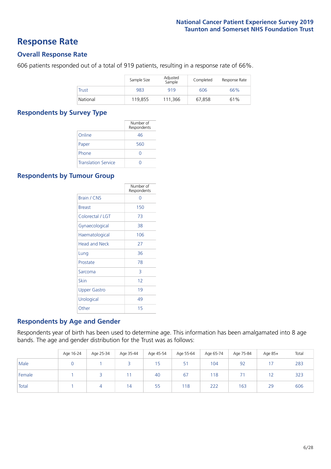# **Response Rate**

### **Overall Response Rate**

606 patients responded out of a total of 919 patients, resulting in a response rate of 66%.

|          | Sample Size | Adjusted<br>Sample | Completed | Response Rate |
|----------|-------------|--------------------|-----------|---------------|
| Trust    | 983         | 919                | 606       | 66%           |
| National | 119.855     | 111.366            | 67.858    | 61%           |

### **Respondents by Survey Type**

|                            | Number of<br>Respondents |
|----------------------------|--------------------------|
| Online                     | 46                       |
| Paper                      | 560                      |
| Phone                      | $\left( \right)$         |
| <b>Translation Service</b> |                          |

### **Respondents by Tumour Group**

|                      | Number of<br>Respondents |
|----------------------|--------------------------|
| <b>Brain / CNS</b>   | ∩                        |
| <b>Breast</b>        | 150                      |
| Colorectal / LGT     | 73                       |
| Gynaecological       | 38                       |
| Haematological       | 106                      |
| <b>Head and Neck</b> | 27                       |
| Lung                 | 36                       |
| Prostate             | 78                       |
| Sarcoma              | 3                        |
| Skin                 | 12                       |
| Upper Gastro         | 19                       |
| Urological           | 49                       |
| Other                | 15                       |

### **Respondents by Age and Gender**

Respondents year of birth has been used to determine age. This information has been amalgamated into 8 age bands. The age and gender distribution for the Trust was as follows:

|        | Age 16-24 | Age 25-34 | Age 35-44 | Age 45-54 | Age 55-64 | Age 65-74 | Age 75-84 | Age 85+ | Total |
|--------|-----------|-----------|-----------|-----------|-----------|-----------|-----------|---------|-------|
| Male   |           |           |           | 15        | 51        | 104       | 92        |         | 283   |
| Female |           |           |           | 40        | 67        | 118       | ÷.        |         | 323   |
| Total  |           |           | 14        | 55        | 118       | 222       | 163       | 29      | 606   |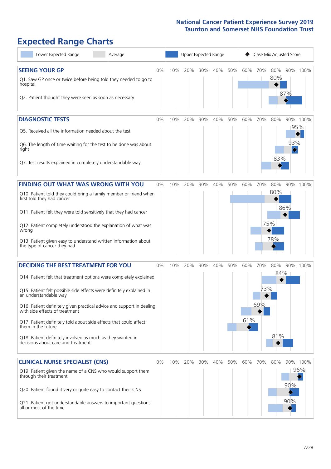# **Expected Range Charts**

| Lower Expected Range                                                                                    | Average |    |     |     | Upper Expected Range |     |     |     |     |     | Case Mix Adjusted Score |                                     |
|---------------------------------------------------------------------------------------------------------|---------|----|-----|-----|----------------------|-----|-----|-----|-----|-----|-------------------------|-------------------------------------|
| <b>SEEING YOUR GP</b>                                                                                   |         | 0% | 10% | 20% | 30%                  | 40% | 50% | 60% | 70% | 80% |                         | 90% 100%                            |
| Q1. Saw GP once or twice before being told they needed to go to<br>hospital                             |         |    |     |     |                      |     |     |     |     | 80% |                         |                                     |
| Q2. Patient thought they were seen as soon as necessary                                                 |         |    |     |     |                      |     |     |     |     |     | 87%                     |                                     |
| <b>DIAGNOSTIC TESTS</b>                                                                                 |         | 0% | 10% | 20% | 30%                  | 40% | 50% | 60% | 70% | 80% |                         | 90% 100%                            |
| O5. Received all the information needed about the test                                                  |         |    |     |     |                      |     |     |     |     |     |                         | 95%                                 |
| Q6. The length of time waiting for the test to be done was about<br>right                               |         |    |     |     |                      |     |     |     |     |     | 93%                     |                                     |
| Q7. Test results explained in completely understandable way                                             |         |    |     |     |                      |     |     |     |     | 83% |                         |                                     |
| <b>FINDING OUT WHAT WAS WRONG WITH YOU</b>                                                              |         | 0% | 10% | 20% | 30%                  | 40% | 50% | 60% | 70% | 80% |                         | 90% 100%                            |
| Q10. Patient told they could bring a family member or friend when<br>first told they had cancer         |         |    |     |     |                      |     |     |     |     | 80% |                         |                                     |
| Q11. Patient felt they were told sensitively that they had cancer                                       |         |    |     |     |                      |     |     |     |     |     | 86%                     |                                     |
| Q12. Patient completely understood the explanation of what was<br>wrong                                 |         |    |     |     |                      |     |     |     |     | 75% |                         |                                     |
| Q13. Patient given easy to understand written information about<br>the type of cancer they had          |         |    |     |     |                      |     |     |     |     | 78% |                         |                                     |
| <b>DECIDING THE BEST TREATMENT FOR YOU</b>                                                              |         | 0% | 10% | 20% | 30%                  | 40% | 50% | 60% | 70% | 80% |                         | 90% 100%                            |
| Q14. Patient felt that treatment options were completely explained                                      |         |    |     |     |                      |     |     |     |     |     | $84\%$                  |                                     |
| Q15. Patient felt possible side effects were definitely explained in<br>an understandable way           |         |    |     |     |                      |     |     |     | 73% |     |                         |                                     |
| Q16. Patient definitely given practical advice and support in dealing<br>with side effects of treatment |         |    |     |     |                      |     |     |     | 69% |     |                         |                                     |
| Q17. Patient definitely told about side effects that could affect<br>them in the future                 |         |    |     |     |                      |     |     | 61% |     |     |                         |                                     |
| Q18. Patient definitely involved as much as they wanted in<br>decisions about care and treatment        |         |    |     |     |                      |     |     |     |     | 81% |                         |                                     |
| <b>CLINICAL NURSE SPECIALIST (CNS)</b>                                                                  |         | 0% | 10% | 20% | 30%                  | 40% | 50% | 60% | 70% | 80% |                         | 90% 100%                            |
| Q19. Patient given the name of a CNS who would support them<br>through their treatment                  |         |    |     |     |                      |     |     |     |     |     |                         | 96%<br>$\color{black}\blacklozenge$ |
| Q20. Patient found it very or quite easy to contact their CNS                                           |         |    |     |     |                      |     |     |     |     |     | 90%                     |                                     |
| Q21. Patient got understandable answers to important questions<br>all or most of the time               |         |    |     |     |                      |     |     |     |     |     | 90%                     |                                     |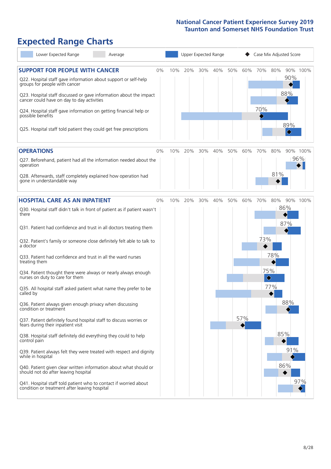# **Expected Range Charts**

| Lower Expected Range<br>Average                                                                                                                                                                                                                               |    |     | <b>Upper Expected Range</b> |     |     |     |     | Case Mix Adjusted Score |     |                                     |          |
|---------------------------------------------------------------------------------------------------------------------------------------------------------------------------------------------------------------------------------------------------------------|----|-----|-----------------------------|-----|-----|-----|-----|-------------------------|-----|-------------------------------------|----------|
| <b>SUPPORT FOR PEOPLE WITH CANCER</b><br>Q22. Hospital staff gave information about support or self-help<br>groups for people with cancer<br>Q23. Hospital staff discussed or gave information about the impact<br>cancer could have on day to day activities | 0% | 10% | 20%                         | 30% | 40% | 50% | 60% | 70%                     | 80% | 90%<br>88%                          | 90% 100% |
| Q24. Hospital staff gave information on getting financial help or<br>possible benefits<br>Q25. Hospital staff told patient they could get free prescriptions                                                                                                  |    |     |                             |     |     |     |     | 70%                     |     | 89%<br>$\color{black}\blacklozenge$ |          |
| <b>OPERATIONS</b>                                                                                                                                                                                                                                             | 0% | 10% | 20%                         | 30% | 40% | 50% | 60% | 70%                     | 80% |                                     | 90% 100% |
| Q27. Beforehand, patient had all the information needed about the<br>operation<br>Q28. Afterwards, staff completely explained how operation had                                                                                                               |    |     |                             |     |     |     |     |                         | 81% |                                     | 96%      |
| gone in understandable way                                                                                                                                                                                                                                    |    |     |                             |     |     |     |     |                         |     |                                     |          |
| <b>HOSPITAL CARE AS AN INPATIENT</b>                                                                                                                                                                                                                          | 0% | 10% | 20%                         | 30% | 40% | 50% | 60% | 70%                     | 80% |                                     | 90% 100% |
| Q30. Hospital staff didn't talk in front of patient as if patient wasn't<br>there<br>Q31. Patient had confidence and trust in all doctors treating them                                                                                                       |    |     |                             |     |     |     |     |                         |     | 86%<br>87%                          |          |
| Q32. Patient's family or someone close definitely felt able to talk to<br>a doctor                                                                                                                                                                            |    |     |                             |     |     |     |     | 73%                     |     |                                     |          |
| Q33. Patient had confidence and trust in all the ward nurses<br>treating them                                                                                                                                                                                 |    |     |                             |     |     |     |     |                         | 78% |                                     |          |
| Q34. Patient thought there were always or nearly always enough<br>nurses on duty to care for them                                                                                                                                                             |    |     |                             |     |     |     |     | 75%<br>♦                |     |                                     |          |
| Q35. All hospital staff asked patient what name they prefer to be<br>called by                                                                                                                                                                                |    |     |                             |     |     |     |     |                         | 77% |                                     |          |
| Q36. Patient always given enough privacy when discussing<br>condition or treatment                                                                                                                                                                            |    |     |                             |     |     |     |     |                         |     | 88%                                 |          |
| Q37. Patient definitely found hospital staff to discuss worries or<br>fears during their inpatient visit                                                                                                                                                      |    |     |                             |     |     |     | 57% |                         |     |                                     |          |
| Q38. Hospital staff definitely did everything they could to help<br>control pain                                                                                                                                                                              |    |     |                             |     |     |     |     |                         |     | 85%                                 |          |
| Q39. Patient always felt they were treated with respect and dignity<br>while in hospital                                                                                                                                                                      |    |     |                             |     |     |     |     |                         |     | 91%                                 |          |
| Q40. Patient given clear written information about what should or<br>should not do after leaving hospital                                                                                                                                                     |    |     |                             |     |     |     |     |                         |     | 86%                                 |          |
| Q41. Hospital staff told patient who to contact if worried about<br>condition or treatment after leaving hospital                                                                                                                                             |    |     |                             |     |     |     |     |                         |     |                                     | 97%      |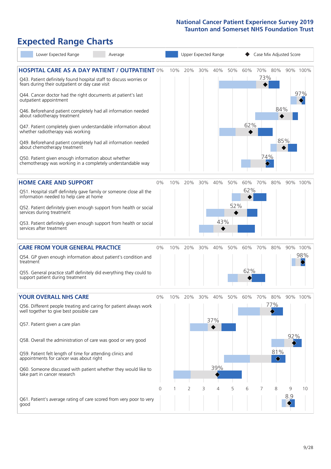# **Expected Range Charts**

| Lower Expected Range<br>Average                                                                                                                                                |       |     |     |     | Upper Expected Range |     |     |     | Case Mix Adjusted Score |     |          |
|--------------------------------------------------------------------------------------------------------------------------------------------------------------------------------|-------|-----|-----|-----|----------------------|-----|-----|-----|-------------------------|-----|----------|
| <b>HOSPITAL CARE AS A DAY PATIENT / OUTPATIENT 0%</b><br>Q43. Patient definitely found hospital staff to discuss worries or<br>fears during their outpatient or day case visit |       | 10% | 20% | 30% | 40%                  | 50% | 60% | 73% | 70% 80%                 |     | 90% 100% |
| Q44. Cancer doctor had the right documents at patient's last<br>outpatient appointment                                                                                         |       |     |     |     |                      |     |     |     |                         |     | 97%      |
| Q46. Beforehand patient completely had all information needed<br>about radiotherapy treatment<br>Q47. Patient completely given understandable information about                |       |     |     |     |                      |     | 62% |     | 84%                     |     |          |
| whether radiotherapy was working                                                                                                                                               |       |     |     |     |                      |     |     |     |                         | 85% |          |
| Q49. Beforehand patient completely had all information needed<br>about chemotherapy treatment                                                                                  |       |     |     |     |                      |     |     | 74% |                         |     |          |
| Q50. Patient given enough information about whether<br>chemotherapy was working in a completely understandable way                                                             |       |     |     |     |                      |     |     |     |                         |     |          |
| <b>HOME CARE AND SUPPORT</b>                                                                                                                                                   | 0%    | 10% | 20% | 30% | 40%                  | 50% | 60% | 70% | 80%                     |     | 90% 100% |
| Q51. Hospital staff definitely gave family or someone close all the<br>information needed to help care at home                                                                 |       |     |     |     |                      |     | 62% |     |                         |     |          |
| Q52. Patient definitely given enough support from health or social<br>services during treatment                                                                                |       |     |     |     |                      | 52% |     |     |                         |     |          |
| Q53. Patient definitely given enough support from health or social<br>services after treatment                                                                                 |       |     |     |     | 43%                  |     |     |     |                         |     |          |
| <b>CARE FROM YOUR GENERAL PRACTICE</b>                                                                                                                                         | 0%    | 10% | 20% | 30% | 40%                  | 50% | 60% | 70% | 80%                     |     | 90% 100% |
| Q54. GP given enough information about patient's condition and<br>treatment                                                                                                    |       |     |     |     |                      |     |     |     |                         |     | 98%      |
| Q55. General practice staff definitely did everything they could to<br>support patient during treatment                                                                        |       |     |     |     |                      |     | 62% |     |                         |     |          |
| <b>YOUR OVERALL NHS CARE</b>                                                                                                                                                   | $0\%$ | 10% | 20% | 30% | 40%                  | 50% | 60% | 70% | 80%                     |     | 90% 100% |
| Q56. Different people treating and caring for patient always work<br>well together to give best possible care                                                                  |       |     |     |     |                      |     |     |     | 77%                     |     |          |
| Q57. Patient given a care plan                                                                                                                                                 |       |     |     |     | 37%                  |     |     |     |                         |     |          |
| Q58. Overall the administration of care was good or very good                                                                                                                  |       |     |     |     |                      |     |     |     |                         | 92% |          |
| Q59. Patient felt length of time for attending clinics and<br>appointments for cancer was about right                                                                          |       |     |     |     |                      |     |     |     | 81%<br>♦                |     |          |
| Q60. Someone discussed with patient whether they would like to<br>take part in cancer research                                                                                 |       |     |     |     | 39%                  |     |     |     |                         |     |          |
|                                                                                                                                                                                | 0     |     | 2   | 3   | 4                    | 5   | 6   |     | 8                       | 9   | 10       |
| Q61. Patient's average rating of care scored from very poor to very<br>good                                                                                                    |       |     |     |     |                      |     |     |     |                         | 8.9 |          |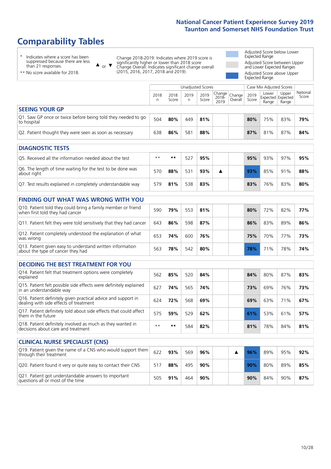# **Comparability Tables**

\* Indicates where a score has been suppressed because there are less than 21 responses.

\*\* No score available for 2018.

 $\triangle$  or  $\nabla$ 

Change 2018-2019: Indicates where 2019 score is significantly higher or lower than 2018 score Change Overall: Indicates significant change overall (2015, 2016, 2017, 2018 and 2019).

Adjusted Score below Lower Expected Range Adjusted Score between Upper and Lower Expected Ranges Adjusted Score above Upper Expected Range

|                                                                             | <b>Unadjusted Scores</b><br>Case Mix Adjusted Scores |               |           |               |                                 |         |               |                                            |                |                   |
|-----------------------------------------------------------------------------|------------------------------------------------------|---------------|-----------|---------------|---------------------------------|---------|---------------|--------------------------------------------|----------------|-------------------|
|                                                                             | 2018<br>n                                            | 2018<br>Score | 2019<br>n | 2019<br>Score | Change Change <br>2018-<br>2019 | Overall | 2019<br>Score | Lower<br><b>Expected Expected</b><br>Range | Upper<br>Range | National<br>Score |
| <b>SEEING YOUR GP</b>                                                       |                                                      |               |           |               |                                 |         |               |                                            |                |                   |
| Q1. Saw GP once or twice before being told they needed to go<br>to hospital | 504                                                  | 80%           | 449       | 81%           |                                 |         | 80%           | 75%                                        | 83%            | 79%               |
| Q2. Patient thought they were seen as soon as necessary                     | 638                                                  | 86%           | 581       | 88%           |                                 |         | 87%           | 81%                                        | 87%            | 84%               |
|                                                                             |                                                      |               |           |               |                                 |         |               |                                            |                |                   |
| <b>DIAGNOSTIC TESTS</b>                                                     |                                                      |               |           |               |                                 |         |               |                                            |                |                   |
| Q5. Received all the information needed about the test                      | $**$                                                 | $* *$         | 527       | 95%           |                                 |         | 95%           | 93%                                        | 97%            | 95%               |
| $\Omega$ The length of time waiting for the test to be done was             |                                                      |               |           |               |                                 |         |               |                                            |                |                   |

| Q6. The length of time waiting for the test to be done was<br>about right | 570 | 88% | 531 | 93% |  |     | 85% | 91% | 88% |
|---------------------------------------------------------------------------|-----|-----|-----|-----|--|-----|-----|-----|-----|
| Q7. Test results explained in completely understandable way               | 579 | 81% | 538 | 83% |  | 83% | 76% | 83% | 80% |

| Q10. Patient told they could bring a family member or friend<br>when first told they had cancer | 590 | 79% | 553 | 81% |  | 80% | 72%             | 82% | <b>77%</b> |
|-------------------------------------------------------------------------------------------------|-----|-----|-----|-----|--|-----|-----------------|-----|------------|
| Q11. Patient felt they were told sensitively that they had cancer                               | 643 | 86% | 598 | 87% |  | 86% | 83%             | 89% | 86%        |
| Q12. Patient completely understood the explanation of what<br>was wrong                         | 653 | 74% | 600 | 76% |  | 75% | 70%             | 77% | 73%        |
| Q13. Patient given easy to understand written information<br>about the type of cancer they had  | 563 | 78% | 542 | 80% |  | 78% | 71 <sub>%</sub> | 78% | 74%        |

|  |  | <b>DECIDING THE BEST TREATMENT FOR YOU</b> |
|--|--|--------------------------------------------|
|--|--|--------------------------------------------|

| Q14. Patient felt that treatment options were completely<br>explained                                   | 562  | 85% | 520 | 84% | 84% | 80% | 87% | 83% |
|---------------------------------------------------------------------------------------------------------|------|-----|-----|-----|-----|-----|-----|-----|
| Q15. Patient felt possible side effects were definitely explained<br>in an understandable way           | 627  | 74% | 565 | 74% | 73% | 69% | 76% | 73% |
| Q16. Patient definitely given practical advice and support in<br>dealing with side effects of treatment | 624  | 72% | 568 | 69% | 69% | 63% | 71% | 67% |
| Q17. Patient definitely told about side effects that could affect<br>them in the future                 | 575  | 59% | 529 | 62% | 61% | 53% | 61% | 57% |
| Q18. Patient definitely involved as much as they wanted in<br>decisions about care and treatment        | $**$ | **  | 584 | 82% | 81% | 78% | 84% | 81% |

| <b>CLINICAL NURSE SPECIALIST (CNS)</b>                                                    |     |     |     |     |  |     |     |     |     |
|-------------------------------------------------------------------------------------------|-----|-----|-----|-----|--|-----|-----|-----|-----|
| Q19. Patient given the name of a CNS who would support them<br>through their treatment    | 622 | 93% | 569 | 96% |  | 96% | 89% | 95% | 92% |
| Q20. Patient found it very or quite easy to contact their CNS                             | 517 | 88% | 495 | 90% |  | 90% | 80% | 89% | 85% |
| Q21. Patient got understandable answers to important<br>questions all or most of the time | 505 | 91% | 464 | 90% |  | 90% | 84% | 90% | 87% |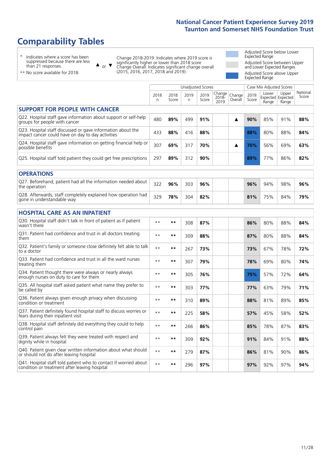# **Comparability Tables**

\* Indicates where a score has been suppressed because there are less than 21 responses.

\*\* No score available for 2018.

 $\triangle$  or  $\nabla$ 

Change 2018-2019: Indicates where 2019 score is significantly higher or lower than 2018 score Change Overall: Indicates significant change overall (2015, 2016, 2017, 2018 and 2019).

Adjusted Score below Lower Expected Range Adjusted Score between Upper and Lower Expected Ranges Adjusted Score above Upper Expected Range

|                                                                                                                   |              |               | <b>Unadjusted Scores</b> |               |                         |                   |               | Case Mix Adjusted Scores            |                |                   |
|-------------------------------------------------------------------------------------------------------------------|--------------|---------------|--------------------------|---------------|-------------------------|-------------------|---------------|-------------------------------------|----------------|-------------------|
|                                                                                                                   | 2018<br>n    | 2018<br>Score | 2019<br>n                | 2019<br>Score | Change<br>2018-<br>2019 | Change<br>Overall | 2019<br>Score | Lower<br>Expected Expected<br>Range | Upper<br>Range | National<br>Score |
| <b>SUPPORT FOR PEOPLE WITH CANCER</b>                                                                             |              |               |                          |               |                         |                   |               |                                     |                |                   |
| Q22. Hospital staff gave information about support or self-help<br>groups for people with cancer                  | 480          | 89%           | 499                      | 91%           |                         | A                 | 90%           | 85%                                 | 91%            | 88%               |
| Q23. Hospital staff discussed or gave information about the<br>impact cancer could have on day to day activities  | 433          | 88%           | 416                      | 88%           |                         |                   | 88%           | 80%                                 | 88%            | 84%               |
| Q24. Hospital staff gave information on getting financial help or<br>possible benefits                            | 307          | 69%           | 317                      | 70%           |                         | ▲                 | 70%           | 56%                                 | 69%            | 63%               |
| Q25. Hospital staff told patient they could get free prescriptions                                                | 297          | 89%           | 312                      | 90%           |                         |                   | 89%           | 77%                                 | 86%            | 82%               |
| <b>OPERATIONS</b>                                                                                                 |              |               |                          |               |                         |                   |               |                                     |                |                   |
| Q27. Beforehand, patient had all the information needed about<br>the operation                                    | 322          | 96%           | 303                      | 96%           |                         |                   | 96%           | 94%                                 | 98%            | 96%               |
| Q28. Afterwards, staff completely explained how operation had<br>gone in understandable way                       | 329          | 78%           | 304                      | 82%           |                         |                   | 81%           | 75%                                 | 84%            | 79%               |
| <b>HOSPITAL CARE AS AN INPATIENT</b>                                                                              |              |               |                          |               |                         |                   |               |                                     |                |                   |
| Q30. Hospital staff didn't talk in front of patient as if patient<br>wasn't there                                 | $**$         | $***$         | 308                      | 87%           |                         |                   | 86%           | 80%                                 | 88%            | 84%               |
| Q31. Patient had confidence and trust in all doctors treating<br>them                                             | $**$         | $***$         | 309                      | 88%           |                         |                   | 87%           | 80%                                 | 88%            | 84%               |
| Q32. Patient's family or someone close definitely felt able to talk<br>to a doctor                                | $\star\star$ | $***$         | 267                      | 73%           |                         |                   | 73%           | 67%                                 | 78%            | 72%               |
| Q33. Patient had confidence and trust in all the ward nurses<br>treating them                                     | $**$         | **            | 307                      | 79%           |                         |                   | 78%           | 69%                                 | 80%            | 74%               |
| Q34. Patient thought there were always or nearly always<br>enough nurses on duty to care for them                 | $**$         | $***$         | 305                      | 76%           |                         |                   | 75%           | 57%                                 | 72%            | 64%               |
| Q35. All hospital staff asked patient what name they prefer to<br>be called by                                    | $**$         | $***$         | 303                      | 77%           |                         |                   | 77%           | 63%                                 | 79%            | 71%               |
| Q36. Patient always given enough privacy when discussing<br>condition or treatment                                | $\star\star$ | $***$         | 310                      | 89%           |                         |                   | 88%           | 81%                                 | 89%            | 85%               |
| Q37. Patient definitely found hospital staff to discuss worries or<br>fears during their inpatient visit          | $* *$        | $***$         | 225                      | 58%           |                         |                   | 57%           | 45%                                 | 58%            | 52%               |
| Q38. Hospital staff definitely did everything they could to help<br>control pain                                  | $* *$        | $***$         | 266                      | 86%           |                         |                   | 85%           | 78%                                 | 87%            | 83%               |
| Q39. Patient always felt they were treated with respect and<br>dignity while in hospital                          | $***$        | $***$         | 309                      | 92%           |                         |                   | 91%           | 84%                                 | 91%            | 88%               |
| Q40. Patient given clear written information about what should<br>or should not do after leaving hospital         | $* *$        | $***$         | 279                      | 87%           |                         |                   | 86%           | 81%                                 | 90%            | 86%               |
| Q41. Hospital staff told patient who to contact if worried about<br>condition or treatment after leaving hospital | $**$         | **            | 296                      | 97%           |                         |                   | 97%           | 92%                                 | 97%            | 94%               |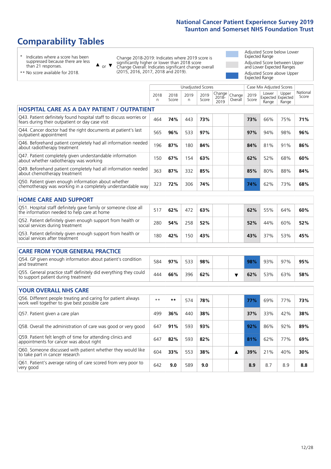# **Comparability Tables**

\* Indicates where a score has been suppressed because there are less than 21 responses.

\*\* No score available for 2018.

 $\triangle$  or  $\nabla$ 

Change 2018-2019: Indicates where 2019 score is significantly higher or lower than 2018 score Change Overall: Indicates significant change overall (2015, 2016, 2017, 2018 and 2019).

Adjusted Score below Lower Expected Range Adjusted Score between Upper and Lower Expected Ranges Adjusted Score above Upper Expected Range

|                                                                                                                       |                      |               | Unadjusted Scores |               |                         |                   |               | Case Mix Adjusted Scores            |                |                   |
|-----------------------------------------------------------------------------------------------------------------------|----------------------|---------------|-------------------|---------------|-------------------------|-------------------|---------------|-------------------------------------|----------------|-------------------|
|                                                                                                                       | 2018<br>$\mathsf{n}$ | 2018<br>Score | 2019<br>n         | 2019<br>Score | Change<br>2018-<br>2019 | Change<br>Overall | 2019<br>Score | Lower<br>Expected Expected<br>Range | Upper<br>Range | National<br>Score |
| <b>HOSPITAL CARE AS A DAY PATIENT / OUTPATIENT</b>                                                                    |                      |               |                   |               |                         |                   |               |                                     |                |                   |
| Q43. Patient definitely found hospital staff to discuss worries or<br>fears during their outpatient or day case visit | 464                  | 74%           | 443               | 73%           |                         |                   | 73%           | 66%                                 | 75%            | 71%               |
| Q44. Cancer doctor had the right documents at patient's last<br>outpatient appointment                                | 565                  | 96%           | 533               | 97%           |                         |                   | 97%           | 94%                                 | 98%            | 96%               |
| Q46. Beforehand patient completely had all information needed<br>about radiotherapy treatment                         | 196                  | 87%           | 180               | 84%           |                         |                   | 84%           | 81%                                 | 91%            | 86%               |
| Q47. Patient completely given understandable information<br>about whether radiotherapy was working                    | 150                  | 67%           | 154               | 63%           |                         |                   | 62%           | 52%                                 | 68%            | 60%               |
| Q49. Beforehand patient completely had all information needed<br>about chemotherapy treatment                         | 363                  | 87%           | 332               | 85%           |                         |                   | 85%           | 80%                                 | 88%            | 84%               |
| Q50. Patient given enough information about whether<br>chemotherapy was working in a completely understandable way    | 323                  | 72%           | 306               | 74%           |                         |                   | 74%           | 62%                                 | 73%            | 68%               |
| <b>HOME CARE AND SUPPORT</b>                                                                                          |                      |               |                   |               |                         |                   |               |                                     |                |                   |
|                                                                                                                       |                      |               |                   |               |                         |                   |               |                                     |                |                   |
| Q51. Hospital staff definitely gave family or someone close all<br>the information needed to help care at home        | 517                  | 62%           | 472               | 63%           |                         |                   | 62%           | 55%                                 | 64%            | 60%               |
| Q52. Patient definitely given enough support from health or<br>social services during treatment                       | 280                  | 54%           | 258               | 52%           |                         |                   | 52%           | 44%                                 | 60%            | 52%               |
| Q53. Patient definitely given enough support from health or<br>social services after treatment                        | 180                  | 42%           | 150               | 43%           |                         |                   | 43%           | 37%                                 | 53%            | 45%               |
| <b>CARE FROM YOUR GENERAL PRACTICE</b>                                                                                |                      |               |                   |               |                         |                   |               |                                     |                |                   |
| Q54. GP given enough information about patient's condition<br>and treatment                                           | 584                  | 97%           | 533               | 98%           |                         |                   | 98%           | 93%                                 | 97%            | 95%               |
| Q55. General practice staff definitely did everything they could<br>to support patient during treatment               | 444                  | 66%           | 396               | 62%           |                         | ▼                 | 62%           | 53%                                 | 63%            | 58%               |
| <b>YOUR OVERALL NHS CARE</b>                                                                                          |                      |               |                   |               |                         |                   |               |                                     |                |                   |
|                                                                                                                       |                      |               |                   |               |                         |                   |               |                                     |                |                   |
| Q56. Different people treating and caring for patient always<br>work well together to give best possible care         | $\star\star$         | $***$         | 574               | 78%           |                         |                   | 77%           | 69%                                 | 77%            | 73%               |
| Q57. Patient given a care plan                                                                                        | 499                  | 36%           | 440               | 38%           |                         |                   | 37%           | 33%                                 | 42%            | 38%               |
| Q58. Overall the administration of care was good or very good                                                         | 647                  | 91%           | 593               | 93%           |                         |                   | 92%           | 86%                                 | 92%            | 89%               |
| Q59. Patient felt length of time for attending clinics and<br>appointments for cancer was about right                 | 647                  | 82%           | 593               | 82%           |                         |                   | 81%           | 62%                                 | 77%            | 69%               |
| Q60. Someone discussed with patient whether they would like<br>to take part in cancer research                        | 604                  | 33%           | 553               | 38%           |                         | ▲                 | 39%           | 21%                                 | 40%            | 30%               |
| Q61. Patient's average rating of care scored from very poor to<br>very good                                           | 642                  | 9.0           | 589               | 9.0           |                         |                   | 8.9           | 8.7                                 | 8.9            | 8.8               |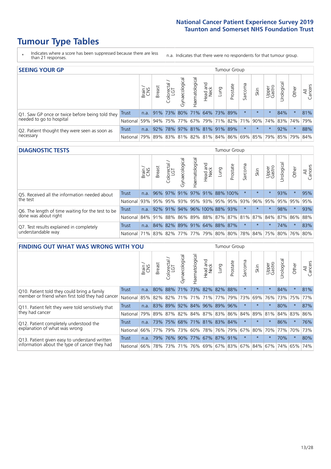# **Tumour Type Tables**

- \* Indicates where a score has been suppressed because there are less than 21 responses.
- n.a. Indicates that there were no respondents for that tumour group.

| <b>SEEING YOUR GP</b>                           |              |              |               |            |                |                |                             | Tumour Group |          |         |         |                 |                                                     |         |                |
|-------------------------------------------------|--------------|--------------|---------------|------------|----------------|----------------|-----------------------------|--------------|----------|---------|---------|-----------------|-----------------------------------------------------|---------|----------------|
|                                                 |              | Brain<br>CNS | <b>Breast</b> | Colorectal | Gynaecological | Haematological | Head and<br>Neck            | Lung         | Prostate | Sarcoma | Skin    | Upper<br>Gastro | Urological                                          | Other   | All<br>Cancers |
| Q1. Saw GP once or twice before being told they | <b>Trust</b> | n.a.         |               |            |                |                | 91% 73% 80% 71% 64% 73% 89% |              |          |         | $\star$ |                 | 84%                                                 | $\ast$  | 81%            |
| needed to go to hospital<br>National            |              | 59%          |               |            |                |                |                             |              |          |         |         |                 | 94% 75% 77% 67% 79% 71% 82% 71% 90% 74% 83% 74% 79% |         |                |
| Q2. Patient thought they were seen as soon as   | <b>Trust</b> | n.a.         | 92%           |            |                |                | 78% 97% 81% 81% 91% 89%     |              |          | $\star$ | $\star$ | $\star$         | 92%                                                 | $\star$ | 88%            |
| necessary<br>National                           |              | 79%          |               |            |                |                |                             |              |          |         |         |                 | 89% 83% 81% 82% 81% 84% 86% 69% 85% 79% 85% 79%     |         | 84%            |

#### **DIAGNOSTIC TESTS** Tumour Group

|                                                   |                                                                  | Brain | Breast | olorectal.<br>LGT<br>$\cup$ | ᢛ<br>Gynaecologic | aematological | Head and<br>Neck             | Lung | Prostate | Sarcoma | Skin    | Upper<br>Gastro | Jrologica                                               | Other   | All<br>Cancers |
|---------------------------------------------------|------------------------------------------------------------------|-------|--------|-----------------------------|-------------------|---------------|------------------------------|------|----------|---------|---------|-----------------|---------------------------------------------------------|---------|----------------|
| Q5. Received all the information needed about     | <b>Trust</b>                                                     | n.a.  |        |                             |                   |               | 96% 97% 91% 97% 91% 88% 100% |      |          |         |         |                 | 93%                                                     | $\star$ | 95%            |
| the test                                          | National                                                         | 93%   |        | 95% 95%                     |                   |               | 93% 95% 93% 95% 95%          |      |          | 93%     | 96%     |                 | 95% 95% 95%                                             |         | 95%            |
| Q6. The length of time waiting for the test to be | Trust                                                            | n.a.  |        | $92\%$ 91%                  |                   |               | 94% 96% 100% 88%             |      | 93%      |         | $\star$ | $\star$         | 98%                                                     | $\star$ | 93%            |
| done was about right                              | National                                                         |       |        |                             |                   |               |                              |      |          |         |         |                 | 84% 91% 88% 86% 89% 88% 87% 87% 81% 87% 84% 87% 86% 88% |         |                |
| Q7. Test results explained in completely          | Trust                                                            | n.a.  |        |                             |                   |               | 84% 82% 89% 91% 64% 88% 87%  |      |          |         | $\star$ | $\star$         | 74%                                                     | $\star$ | 83%            |
| understandable way                                | National 71% 83% 82% 77% 77% 79% 80% 80% 78% 84% 75% 80% 76% 80% |       |        |                             |                   |               |                              |      |          |         |         |                 |                                                         |         |                |

|                                                        | <b>FINDING OUT WHAT WAS WRONG WITH YOU</b> |        |               |                       |                         |                         |                  |                 |          |          |         | <b>Tumour Group</b> |           |         |                |  |  |  |  |  |
|--------------------------------------------------------|--------------------------------------------|--------|---------------|-----------------------|-------------------------|-------------------------|------------------|-----------------|----------|----------|---------|---------------------|-----------|---------|----------------|--|--|--|--|--|
|                                                        |                                            | Brain  | <b>Breast</b> | olorectal<br>LGT<br>Ū | Gynaecological          | Haematological          | Head and<br>Neck | Lung            | Prostate | Sarcoma  | Skin    | Upper<br>Gastro     | Jrologica | Other   | All<br>Cancers |  |  |  |  |  |
| Trust<br>Q10. Patient told they could bring a family   |                                            | n.a.   | 80%           | 88%                   | 71%                     | 73% 82% 82%             |                  |                 | 88%      | $\star$  | $\star$ | $\star$             | 84%       | $\star$ | 81%            |  |  |  |  |  |
| member or friend when first told they had cancer       | National                                   | 85%    | 82%           | 82%                   |                         | 71%   71%   71%   77%   |                  |                 | 79%      | 73%      | 69%     | 76%                 | 73%       | 75%     | 77%            |  |  |  |  |  |
| Q11. Patient felt they were told sensitively that      | Trust                                      | n.a.   | 83%           | 89%                   |                         | 92% 84% 96% 89%         |                  |                 | 96%      | $^\star$ | $\star$ | $\star$             | 80%       | $\star$ | 87%            |  |  |  |  |  |
| they had cancer                                        | National                                   | 79%    |               | 89% 87%               | 82% 84% 87% 83% 86% 84% |                         |                  |                 |          |          | 89%     | 81%                 | 84% 83%   |         | 86%            |  |  |  |  |  |
| Q12. Patient completely understood the                 | Trust                                      | n.a.   | 73%           | 75%                   |                         | 68% 71% 81% 83% 84%     |                  |                 |          | $\star$  |         |                     | 86%       | $\star$ | 76%            |  |  |  |  |  |
| explanation of what was wrong<br>National              |                                            | $66\%$ | 77%           | 79%                   | 73%                     |                         |                  | 60%   78%   76% | 79%      | 67%      | 80%     | 70%                 | 77%       | 70%     | 73%            |  |  |  |  |  |
| Trust<br>Q13. Patient given easy to understand written |                                            | n.a.   | 79%           | 76%                   | 90%                     | 77% 67% 87% 91%         |                  |                 |          | $\star$  | $\star$ | $\star$             | 70%       | $\star$ | 80%            |  |  |  |  |  |
| information about the type of cancer they had          | National                                   | 66%    | 78%           | 73%                   |                         | 71% 76% 69% 67% 83% 67% |                  |                 |          |          | 84%     |                     | 67% 74%   | 65%     | 74%            |  |  |  |  |  |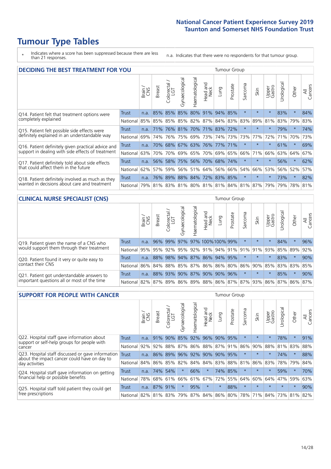# **Tumour Type Tables**

\* Indicates where a score has been suppressed because there are less than 21 responses.

n.a. Indicates that there were no respondents for that tumour group.

| <b>DECIDING THE BEST TREATMENT FOR YOU</b>         |                                                  | <b>Tumour Group</b> |               |                             |                |                |                        |                             |          |          |         |                 |            |         |                |
|----------------------------------------------------|--------------------------------------------------|---------------------|---------------|-----------------------------|----------------|----------------|------------------------|-----------------------------|----------|----------|---------|-----------------|------------|---------|----------------|
|                                                    |                                                  | Brain               | <b>Breast</b> | blorectal.<br>LGT<br>$\cup$ | Gynaecological | Haematological | ad and<br>Neck<br>Head | Lung                        | Prostate | Sarcoma  | Skin    | Upper<br>Gastro | Jrological | Other   | All<br>Cancers |
| Q14. Patient felt that treatment options were      | <b>Trust</b>                                     | n.a.                |               | 85% 85%                     | 85%            | 80% 91%        |                        | 94%                         | 85%      | $\star$  |         | $\star$         | 83%        | $\star$ | 84%            |
| completely explained<br>National                   |                                                  | 85%                 |               |                             |                |                |                        | 85% 85% 85% 82% 87% 84% 83% |          | 83%      | 89%     | 81%             | 83%        | 79%     | 83%            |
| Q15. Patient felt possible side effects were       | Trust                                            | n.a.                | 71%           | 76%                         | 81%            |                |                        | 70%   71%   83%   72%       |          | $\star$  |         | $\star$         | 79%        | $\star$ | 74%            |
| definitely explained in an understandable way      | National                                         | 69%                 | 74%           | 76%                         | 75%            | 69%            | 73%                    |                             | 74% 73%  | 73%      | 77%     | 72%             | 71%        | 70%     | 73%            |
| Q16. Patient definitely given practical advice and | Trust                                            | n.a.                | 70%           | 68%                         |                | 67% 63% 76%    |                        |                             | 77% 71%  | $\star$  | $\star$ | $\star$         | 61%        | $\star$ | 69%            |
| support in dealing with side effects of treatment  | National                                         | 63%                 | 70%           | 70%                         |                |                | 69% 65% 70%            |                             | 69% 65%  | 66%      | 71%     | 66%             | 63% 64%    |         | 67%            |
| Q17. Patient definitely told about side effects    | Trust                                            | n.a.                | 56%           | 58%                         |                |                |                        | 75% 56% 70% 68% 74%         |          | $^\star$ | $\star$ | $\star$         | 56%        | $\star$ | 62%            |
| that could affect them in the future               | National                                         | 62%                 | 57%           | 59%                         |                |                |                        | 56% 51% 64% 56% 66%         |          | 54%      | 66%     | 53%             | 56%        | 52%     | 57%            |
| Q18. Patient definitely involved as much as they   | Trust                                            | n.a.                | 76%           |                             |                |                |                        | 89% 88% 84% 72% 83% 85%     |          | $\star$  | $\star$ | $\star$         | 73%        | $\star$ | 82%            |
| wanted in decisions about care and treatment       | National 79% 81% 83% 81% 80% 81% 81% 84% 81% 87% |                     |               |                             |                |                |                        |                             |          |          |         | 79%             | 79%        | 78% 81% |                |

#### **CLINICAL NURSE SPECIALIST (CNS)** Tumour Group

|                                             |                 | Brain | Breast          | olorectal<br>LGT | Gynaecologic | ᠊ᢛ<br>Haematologic | Head and<br>Neck                  | Lung | Prostate | Sarcoma | Skin    | Upper<br>Gastro | Urological                                  | Other   | All<br>Cancers |
|---------------------------------------------|-----------------|-------|-----------------|------------------|--------------|--------------------|-----------------------------------|------|----------|---------|---------|-----------------|---------------------------------------------|---------|----------------|
| Q19. Patient given the name of a CNS who    | <b>Trust</b>    | n.a.  |                 | 96% 99%          |              |                    | 97% 97% 100% 100% 99%             |      |          |         | $\star$ | $\star$         | 84%                                         | $\star$ | 96%            |
| would support them through their treatment  | <b>National</b> | 95%   |                 |                  |              |                    | 95% 92% 95% 92% 91% 94% 91% 91% 1 |      |          |         | 91%     | 93%             | 85% 89%                                     |         | 92%            |
| Q20. Patient found it very or quite easy to | <b>Trust</b>    | n.a.  |                 |                  |              |                    | 88% 98% 94% 87% 86% 94% 95%       |      |          | $\star$ | $\star$ | $\star$         | 83%                                         | $\star$ | 90%            |
| contact their CNS                           | National        | 86%   |                 |                  |              |                    | 84% 88% 85% 87% 86% 86% 80% 86%   |      |          |         | 90% 85% |                 | 83% 83%                                     |         | 85%            |
| Q21. Patient got understandable answers to  | Trust           | n.a.  |                 | 88% 93%          | 90%          |                    | 87% 90% 90%                       |      | 96%      |         | $\star$ | $\star$         | 85%                                         | $\star$ | 90%            |
| important questions all or most of the time | National        |       | 82%   87%   89% |                  |              |                    |                                   |      |          |         |         |                 | 86% 89% 88% 86% 87% 87% 93% 86% 87% 86% 87% |         |                |

| <b>SUPPORT FOR PEOPLE WITH CANCER</b>                                                             |              |       |               |                             |                |                |                        |                             |          |         | <b>Tumour Group</b>     |                 |            |         |                |  |  |  |  |  |
|---------------------------------------------------------------------------------------------------|--------------|-------|---------------|-----------------------------|----------------|----------------|------------------------|-----------------------------|----------|---------|-------------------------|-----------------|------------|---------|----------------|--|--|--|--|--|
|                                                                                                   |              | Brain | <b>Breast</b> | olorectal.<br>LGT<br>$\cup$ | Gynaecological | Haematological | ad and<br>Neck<br>Head | Lung                        | Prostate | Sarcoma | Skin                    | Upper<br>Gastro | Jrological | Other   | All<br>Cancers |  |  |  |  |  |
| Q22. Hospital staff gave information about<br>support or self-help groups for people with         | <b>Trust</b> | n.a.  | 91%           | 90%                         | 85%            | $ 92\% $       | 96%                    | 90%                         | 95%      | $\star$ | $\star$                 | $\star$         | 78%        | $\ast$  | 91%            |  |  |  |  |  |
| cancer                                                                                            | National     | 92%   | 92%           | 88%                         |                |                |                        | 87% 86% 88% 87% 91%         |          | 86%     | 90%                     | 88%             | 81%        | 83%     | 88%            |  |  |  |  |  |
| Q23. Hospital staff discussed or gave information<br>about the impact cancer could have on day to | Trust        | n.a.  | 86%           | 89%                         | 96%            |                | 92% 90%                | 90%                         | 95%      | $\star$ | $\star$                 | $\star$         | 74%        | $\ast$  | 88%            |  |  |  |  |  |
| day activities                                                                                    | National     | 84%   | 86%           | 85%                         | 82%            | 84% 84%        |                        | 83% 88%                     |          | 81%     | 86%                     | 83%             | 78%        | 79%     | 84%            |  |  |  |  |  |
| Q24. Hospital staff gave information on getting                                                   | Trust        | n.a.  |               | 74% 54%                     | $\star$        | 66%            | $\star$                |                             | 74% 85%  | $\star$ | $\star$                 | $\star$         | 59%        | $\star$ | 70%            |  |  |  |  |  |
| financial help or possible benefits                                                               | National     | 78%   |               | 68% 61%                     | 66%            | 61%            | 67%                    | 72%                         | 55%      | 64%     | 60%                     | 64%             | 47%        | 59%     | 63%            |  |  |  |  |  |
| Q25. Hospital staff told patient they could get<br>free prescriptions                             | Trust        | n.a.  | 87%           | 91%                         |                | 95%            | $\star$                | $\star$                     | 88%      | $\star$ | $\star$                 | $\star$         | $\star$    | $\star$ | 90%            |  |  |  |  |  |
|                                                                                                   | National     |       | 82% 81% 83%   |                             |                |                |                        | 79%   87%   84%   86%   80% |          |         | 78% 71% 84% 73% 81% 82% |                 |            |         |                |  |  |  |  |  |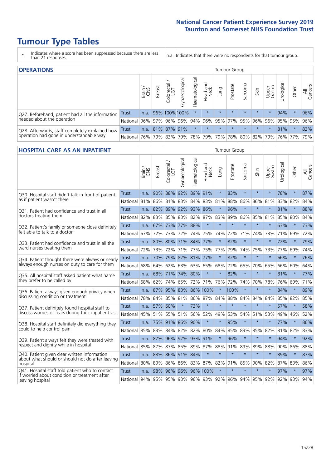# **Tumour Type Tables**

\* Indicates where a score has been suppressed because there are less than 21 responses.

n.a. Indicates that there were no respondents for that tumour group.

| <b>OPERATIONS</b><br>Tumour Group                                                           |          |               |               |                          |                |                |                             |         |          |         |         |                 |            |             |                |
|---------------------------------------------------------------------------------------------|----------|---------------|---------------|--------------------------|----------------|----------------|-----------------------------|---------|----------|---------|---------|-----------------|------------|-------------|----------------|
|                                                                                             |          | Brain.<br>CNS | <b>Breast</b> | ╮<br>Colorectal /<br>LGT | Gynaecological | Haematological | Head and<br>Neck            | Lung    | Prostate | Sarcoma | Skin    | Upper<br>Gastro | Urological | Other       | All<br>Cancers |
| Q27. Beforehand, patient had all the information                                            | Trust    | n.a.          |               | 96% 100% 100%            |                | $\star$        | $\star$                     | $\star$ | $\star$  | $\star$ | $\star$ | $\star$         | 94%        | $\star$     | 96%            |
| needed about the operation                                                                  | National | 96%           |               | 97% 96%                  | 96%            | 94%            | 96%                         |         | 95% 97%  | 95%     | 96%     | 96%             |            | 95% 95%     | 96%            |
| Q28. Afterwards, staff completely explained how<br>operation had gone in understandable way | Trust    | n.a.          |               | 81% 87%                  | 91%            | $\star$        | $\star$                     | $\star$ | $\star$  | $\star$ | $\star$ | $\star$         | 81%        | $\star$     | 82%            |
|                                                                                             | National | 76%           |               | 79% 83%                  | 79%            |                | 78% 79% 79% 78% 80% 82% 79% |         |          |         |         |                 |            | 76% 77% 79% |                |

#### **HOSPITAL CARE AS AN INPATIENT** Tumour Group

|                                                                                                  |              | Brain | <b>Breast</b>        | $\frac{1}{2}$ Colorectal / | Gynaecological  | Haematological | Head and<br>Neck | Lung    | Prostate | Sarcoma | Skin    | Upper<br>Gastro | Urological                                              | Other   | Cancers<br>$\overline{\overline{z}}$ |
|--------------------------------------------------------------------------------------------------|--------------|-------|----------------------|----------------------------|-----------------|----------------|------------------|---------|----------|---------|---------|-----------------|---------------------------------------------------------|---------|--------------------------------------|
| Q30. Hospital staff didn't talk in front of patient                                              | Trust        | n.a.  | 90%                  | 88%                        | 92%             | 89%            | 91%              | $\star$ | 83%      | $\star$ | $\star$ | $\star$         | 78%                                                     | $\star$ | 87%                                  |
| as if patient wasn't there                                                                       | National     | 81%   | 86%                  | 81% 83%                    |                 |                | 84% 83% 81%      |         | 88%      | 86%     | 86%     | 81%             | 83%                                                     | 82%     | 84%                                  |
| 031. Patient had confidence and trust in all                                                     | <b>Trust</b> | n.a.  | 82%                  |                            | 89% 92% 93% 86% |                |                  | $\star$ | 96%      | $\star$ | $\star$ | $\star$         | 81%                                                     | $\star$ | 88%                                  |
| doctors treating them                                                                            | National     | 82%   | 83%                  | 85%                        |                 |                | 83% 82% 87% 83%  |         | 89%      | 86%     | 85%     | 81%             | 85%                                                     | 80%     | 84%                                  |
| Q32. Patient's family or someone close definitely                                                | <b>Trust</b> | n.a.  |                      | 67% 73% 77% 88%            |                 |                | $\star$          | $\star$ | $\star$  | $\star$ | $\star$ | $\star$         | 63%                                                     | $\star$ | 73%                                  |
| felt able to talk to a doctor                                                                    | National     | 67%   | 72%                  | 73%                        | 72%             | 74%            | 75%              | 74%     | 72%      | 71%     | 74%     | 73%             | 71%                                                     | 69%     | 72%                                  |
| Q33. Patient had confidence and trust in all the                                                 | <b>Trust</b> | n.a.  | 80% 80%              |                            |                 | 71% 84% 77%    |                  | $\star$ | 82%      | $\star$ | $\star$ |                 | 72%                                                     | $\star$ | 79%                                  |
| ward nurses treating them                                                                        | National     | 72%   |                      | 73% 72%                    |                 | 71% 77%        | 75%              | 77%     | 79%      | 74%     | 75%     | 73%             | 77%                                                     | 69%     | 74%                                  |
| Q34. Patient thought there were always or nearly                                                 | <b>Trust</b> | n.a.  | 70%                  | 79% 82%                    |                 | 81%            | 77%              | $\star$ | 82%      | $\star$ | $\star$ | $\star$         | 66%                                                     | $\star$ | 76%                                  |
| always enough nurses on duty to care for them                                                    | National     | 68%   | 64%                  | 62%                        |                 |                | 63% 63% 65% 68%  |         | 72%      | 65%     |         | 70% 65%         | 66%                                                     | 60%     | 64%                                  |
| Q35. All hospital staff asked patient what name                                                  | <b>Trust</b> | n.a.  |                      | 68% 71% 74% 80%            |                 |                | $\star$          | $\star$ | 82%      | $\star$ | $\star$ | $\star$         | 81%                                                     | $\star$ | 77%                                  |
| they prefer to be called by                                                                      | National     | 68%   | 62%                  | 74%                        | 65%             | 72%            | 71%              | 76%     | 72%      | 74%     | 70%     | 78%             | 76%                                                     | 69%     | 71%                                  |
| Q36. Patient always given enough privacy when                                                    | <b>Trust</b> | n.a.  | 87%                  | 95%                        | 83%             |                | 86% 100%         | $\star$ | 100%     | $\star$ | $\star$ |                 | 84%                                                     | $\star$ | 89%                                  |
| discussing condition or treatment                                                                | National     | 78%   |                      | 84% 85%                    | 81%             |                | 86% 87% 84%      |         | 88%      | 84%     | 84%     | 84%             | 85%                                                     | 82%     | 85%                                  |
| Q37. Patient definitely found hospital staff to                                                  | <b>Trust</b> | n.a.  | 57%                  | 60%                        |                 | 73%            | $\star$          | $\star$ | $\star$  | $\star$ | $\star$ | $\star$         | 57%                                                     | $\star$ | 58%                                  |
| discuss worries or fears during their inpatient visit                                            | National     | 45%   |                      | 51% 55%                    | 51%             | 56%            | 52%              | 49%     | 53%      | 54%     | 51%     | 53%             | 49%                                                     | 46%     | 52%                                  |
| Q38. Hospital staff definitely did everything they                                               | <b>Trust</b> |       | n.a. 75% 91% 86% 90% |                            |                 |                | $\star$          | $\star$ | 95%      | $\star$ | $\star$ | $\star$         | 77%                                                     | $\star$ | 86%                                  |
| could to help control pain                                                                       | National     | 85%   | 83%                  | 84%                        |                 |                | 82% 82% 80% 84%  |         | 85%      | 83%     | 85%     | 82%             | 81% 82%                                                 |         | 83%                                  |
| Q39. Patient always felt they were treated with                                                  | <b>Trust</b> | n.a.  | 87%                  | 96% 92%                    |                 | 93% 91%        |                  | $\star$ | 96%      | $\star$ | $\star$ |                 | 94%                                                     | $\star$ | 92%                                  |
| respect and dignity while in hospital                                                            | National     | 85%   | 87%                  | 87%                        | 85%             | 89%            | 87%              | 88%     | 91%      | 89%     | 89%     | 88%             | 90%                                                     | 86%     | 88%                                  |
| Q40. Patient given clear written information<br>about what should or should not do after leaving | <b>Trust</b> | n.a.  | 88%                  |                            | 86% 91% 84%     |                | $\star$          | $\star$ | $\star$  | $\star$ | $\star$ | $\star$         | 89%                                                     | $\star$ | 87%                                  |
| hospital                                                                                         | National     | 80%   | 89%                  | 86%                        | 86%             |                | 83% 87% 82%      |         | 91%      | 85%     | 90%     | 82%             | 87%                                                     | 83%     | 86%                                  |
| Q41. Hospital staff told patient who to contact<br>if worried about condition or treatment after | <b>Trust</b> | n.a.  | 98%                  | 96%                        |                 |                | 96% 96% 100%     | $\star$ | $\star$  | $\star$ | $\star$ | $\star$         | 97%                                                     | $\star$ | 97%                                  |
| leaving hospital                                                                                 | National     |       |                      |                            |                 |                |                  |         |          |         |         |                 | 94% 95% 95% 93% 96% 93% 92% 96% 94% 95% 92% 92% 93% 94% |         |                                      |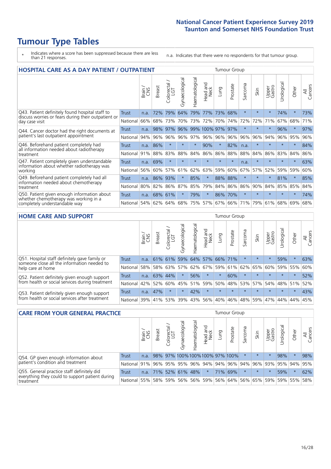# **Tumour Type Tables**

- \* Indicates where a score has been suppressed because there are less than 21 responses.
- n.a. Indicates that there were no respondents for that tumour group.

| <b>HOSPITAL CARE AS A DAY PATIENT / OUTPATIENT</b>                     |              |       |               |                                     |                |                |                        | <b>Tumour Group</b> |          |                          |         |                 |            |         |                |  |  |
|------------------------------------------------------------------------|--------------|-------|---------------|-------------------------------------|----------------|----------------|------------------------|---------------------|----------|--------------------------|---------|-----------------|------------|---------|----------------|--|--|
|                                                                        |              | Brain | <b>Breast</b> | $\frac{\text{Colored}}{\text{LGT}}$ | Gynaecological | Haematological | ad and<br>Neck<br>Head | Lung                | Prostate | arcoma<br>$\overline{ }$ | Skin    | Upper<br>Gastro | Jrological | Other   | All<br>Cancers |  |  |
| Q43. Patient definitely found hospital staff to                        | <b>Trust</b> | n.a.  | 72%           | 79%                                 | 64%            | 79%            | 77%                    | 73%                 | 68%      | $\star$                  |         | $\star$         | 74%        | $\star$ | 73%            |  |  |
| discuss worries or fears during their outpatient or<br>day case visit  | National     | 66%   | 68%           | 73%                                 | 70%            | 73%            | 72%                    | 70%                 | 74%      | 72%                      | 72%     | 71%             | 67%        | 68%     | 71%            |  |  |
| Q44. Cancer doctor had the right documents at                          | Trust        | n.a.  | 98%           | 97%                                 | 96%            |                |                        | 99% 100% 97%        | 97%      | $\star$                  |         |                 | 96%        | $\ast$  | 97%            |  |  |
| patient's last outpatient appointment                                  | National     | 94%   | 96%           | 96%                                 | 96%            | 97%            |                        | 96% 96%             | 96%      | 96%                      | 96%     | 94%             | 96%        | 95%     | 96%            |  |  |
| Q46. Beforehand patient completely had                                 | <b>Trust</b> | n.a.  | 86%           | $\star$                             |                | $\star$        | 90%                    | $\star$             | 82%      | n.a.                     |         | $\star$         | $\star$    | $\ast$  | 84%            |  |  |
| all information needed about radiotherapy<br>treatment                 | National     | 91%   | 88%           | 83%                                 | 88%            | 84%            | 86%                    | 86%                 | 88%      | 88%                      | 84%     | 86%             | 83%        | 84%     | 86%            |  |  |
| Q47. Patient completely given understandable                           | <b>Trust</b> | n.a.  | 69%           | $\star$                             |                |                | $\star$                | $\star$             | $\star$  | n.a.                     | $\star$ | $\star$         | $\star$    | $\star$ | 63%            |  |  |
| information about whether radiotherapy was<br>working                  | National     | 56%   | 60%           | 57%                                 | 61%            | 62%            | 63%                    | 59%                 | 60%      | 67%                      | 57%     | 52%             | 59%        | 59%     | 60%            |  |  |
| Q49. Beforehand patient completely had all                             | Trust        | n.a.  | 86%           | 93%                                 |                | 85%            | $\star$                | 88%                 | 88%      | $\star$                  |         | $\star$         | 81%        | $\star$ | 85%            |  |  |
| information needed about chemotherapy<br>treatment                     | National     | 80%   | 82%           | 86%                                 | 87%            | 85%            | 79%                    | 84%                 | 86%      | 86%                      | 90%     | 84%             | 85%        | 85%     | 84%            |  |  |
| Q50. Patient given enough information about                            | Trust        | n.a.  | 68%           | 61%                                 |                | 79%            | $\star$                | 86%                 | 70%      | $\star$                  |         |                 |            | $\star$ | 74%            |  |  |
| whether chemotherapy was working in a<br>completely understandable way | National     | 54%   |               | 62% 64%                             | 68%            | 75%            |                        | 57% 67% 66%         |          | 71%                      | 79%     | 61%             | 68%        | 69%     | 68%            |  |  |

#### **HOME CARE AND SUPPORT** Tumour Group

|                                                                                                                   |              | Brain | Breast  | Colorectal<br>LGT | ᢛ<br>Gynaecologic | Haematological | Head and<br>Neck | <b>Lung</b>                 | Prostate | Sarcoma | Skin    | Upper<br>Gastro | Urologica | Other   | All<br>Cancers |
|-------------------------------------------------------------------------------------------------------------------|--------------|-------|---------|-------------------|-------------------|----------------|------------------|-----------------------------|----------|---------|---------|-----------------|-----------|---------|----------------|
| Q51. Hospital staff definitely gave family or<br>someone close all the information needed to<br>help care at home | <b>Trust</b> | n.a.  |         | 61% 61%           |                   |                |                  | 59% 64% 57% 66% 71%         |          |         | $\star$ | $\star$         | 59%       | $\star$ | 63%            |
|                                                                                                                   | National     | 58%   |         | 58% 63%           |                   |                |                  | 57% 62% 67% 59% 61% 62% 65% |          |         |         | 60%             | 59% 55%   |         | 60%            |
| Q52. Patient definitely given enough support                                                                      | Trust        | n.a.  | 63% 44% |                   | $\star$           | 56%            | $\star$          | $\star$                     | 60%      | $\star$ | $\star$ | $\star$         | $\star$   | $\star$ | 52%            |
| from health or social services during treatment                                                                   | National     | 42%   | 52%     | 60%               |                   | 45% 51%        | 59%              | 50%                         | 48%      |         | 53% 57% | 54%             | 48% 51%   |         | 52%            |
| Q53. Patient definitely given enough support<br>from health or social services after treatment                    | Trust        | n.a.  | 47%     |                   | $\star$           | 42%            | $\star$          | $\star$                     | $\star$  | $\star$ | $\star$ | $\star$         | $\star$   | $\star$ | 43%            |
|                                                                                                                   | National     | 39%   | 41% 53% |                   | 39%               | $ 43\% $       | 56%              | 40%                         | 46%      |         | 48% 59% | 47%             | 44%       | 44%     | 45%            |

| <b>CARE FROM YOUR GENERAL PRACTICE</b>                                                        |                                                                  |       |               |                   |                |                   | Tumour Group     |             |                                 |         |         |                 |           |         |                |
|-----------------------------------------------------------------------------------------------|------------------------------------------------------------------|-------|---------------|-------------------|----------------|-------------------|------------------|-------------|---------------------------------|---------|---------|-----------------|-----------|---------|----------------|
|                                                                                               |                                                                  | Brain | <b>Breast</b> | Colorectal<br>LGT | Gynaecological | ᅙ<br>Haematologic | Head and<br>Neck | <b>Dung</b> | Prostate                        | Sarcoma | Skin    | Upper<br>Gastro | Urologica | Other   | All<br>Cancers |
| Q54. GP given enough information about                                                        | <b>Trust</b>                                                     | n.a.  |               |                   |                |                   |                  |             | 98% 97% 100% 100% 100% 97% 100% |         | $\star$ | $\star$         | 98%       | $\ast$  | 98%            |
| patient's condition and treatment                                                             | National 91% 96% 95% 95% 96% 94% 94% 96% 94% 96% 93% 95% 94% 95% |       |               |                   |                |                   |                  |             |                                 |         |         |                 |           |         |                |
| Q55. General practice staff definitely did<br>everything they could to support patient during | <b>Trust</b>                                                     | n.a.  |               |                   |                | 71% 52% 61% 48%   | $\star$          |             | 71% 69%                         |         | $\star$ | $\star$         | 59%       | $\star$ | 62%            |
| treatment                                                                                     | National                                                         | 55%   |               | 58% 59%           |                |                   | 56%   56%   59%  |             | 56% 64% 56% 65% 59% 59% 55%     |         |         |                 |           |         | 58%            |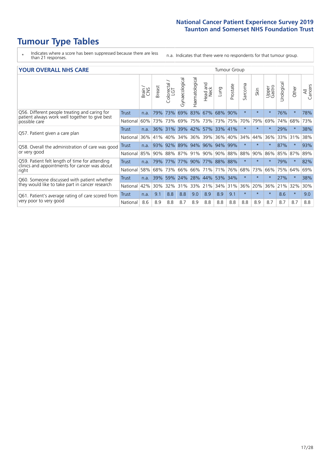# **Tumour Type Tables**

- \* Indicates where a score has been suppressed because there are less than 21 responses.
- n.a. Indicates that there were no respondents for that tumour group.

#### **YOUR OVERALL NHS CARE** THE CONSTRUCTION OF THE THROUP GROUP TUMOUR GROUP

|                                                                                                 |              | Brain | <b>Breast</b> | olorectal.<br>LGT<br>Û | Gynaecological | Haematological | Head and<br>Neck | Lung        | Prostate | arcoma<br>$\sqrt{ }$ | Skin     | Upper<br>Gastro | ල<br>Urologia | Other   | All<br>Cancers |
|-------------------------------------------------------------------------------------------------|--------------|-------|---------------|------------------------|----------------|----------------|------------------|-------------|----------|----------------------|----------|-----------------|---------------|---------|----------------|
| Q56. Different people treating and caring for                                                   | Trust        | n.a.  | 79%           | 73%                    | 69%            | 83%            | 67%              | 68%         | 90%      | $\star$              | $\star$  | $\star$         | 76%           | $\ast$  | 78%            |
| patient always work well together to give best<br>possible care                                 | National     | 60%   |               | 73% 73%                | 69%            | 75%            | 73%              | 73% 75%     |          | 70%                  | 79%      | 69%             | 74%           | 68%     | 73%            |
| Q57. Patient given a care plan                                                                  | <b>Trust</b> | n.a.  |               | 36% 31%                | 39% 42%        |                |                  | 57% 33% 41% |          | $\star$              | $\star$  |                 | 29%           | $\ast$  | 38%            |
|                                                                                                 | National     | 36%   | 41%           | 40%                    | 34%            | 36%            | $ 39\%$          | $36\%$      | 40%      | 34%                  | 44%      | 36%             | 33%           | 31%     | 38%            |
| Q58. Overall the administration of care was good                                                | <b>Trust</b> | n.a.  | 93%           | 92%                    |                |                | 89% 94% 96%      | 94% 99%     |          |                      | $^\star$ |                 | 87%           |         | 93%            |
| or very good                                                                                    | National     |       | 85% 90% 88%   |                        | 87% 91%        |                | 90% 90% 88% 88%  |             |          |                      | 90%      | 86%             | 85%           | 87%     | 89%            |
| Q59. Patient felt length of time for attending<br>clinics and appointments for cancer was about | Trust        | n.a.  | 79%           | 77%                    | 77% 90%        |                | 77% 88% 88%      |             |          | $\star$              | $\ast$   |                 | 79%           | $\ast$  | 82%            |
| right                                                                                           | National     | 58%   | 68%           | 73%                    | 66%            | 66%            | 71%              | 71%         | 76%      | 68%                  | 73%      | 66%             | 75%           | 64%     | 69%            |
| Q60. Someone discussed with patient whether                                                     | Trust        | n.a.  | 39%           | 59%                    | 24%            | 28%            | 44%              | 53% 34%     |          |                      | $^\star$ |                 | 27%           |         | 38%            |
| they would like to take part in cancer research                                                 | National     | 42%   | $30\%$        | 32%                    | 31%            | 33%            | 21%              | 34% 31%     |          | 36%                  | 20%      | 36%             | 21%           | 32%     | 30%            |
| Q61. Patient's average rating of care scored from<br>very poor to very good                     | Trust        | n.a.  | 9.1           | 8.8                    | 8.8            | 9.0            | 8.9              | 8.9         | 9.1      | $\star$              | $\star$  | $\star$         | 8.6           | $\star$ | 9.0            |
|                                                                                                 | National     | 8.6   | 8.9           | 8.8                    | 8.7            | 8.9            | 8.8              | 8.8         | 8.8      | 8.8                  | 8.9      | 8.7             | 8.7           | 8.7     | 8.8            |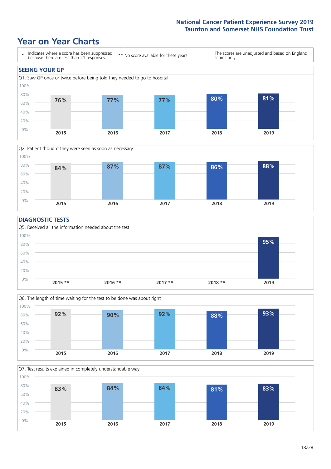# **Year on Year Charts**





#### **DIAGNOSTIC TESTS**





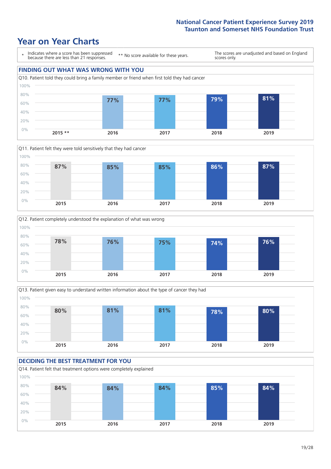







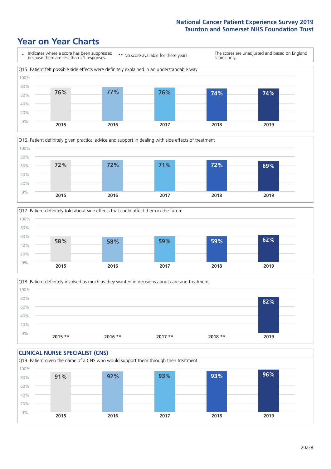







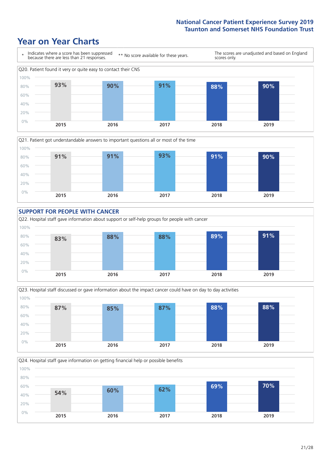







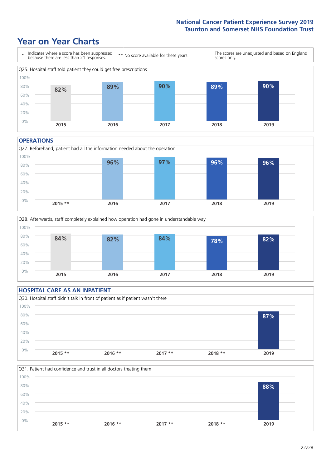# **Year on Year Charts**



#### **OPERATIONS**

Q27. Beforehand, patient had all the information needed about the operation  $0%$ 20% 40% 60% 80% 100% **2015 \*\* 2016 2017 2018 2019 96% 97% 96% 96%**



### **HOSPITAL CARE AS AN INPATIENT** Q30. Hospital staff didn't talk in front of patient as if patient wasn't there 0% 20% 40% 60% 80% 100% **2015 \*\* 2016 \*\* 2017 \*\* 2018 \*\* 2019 87%**

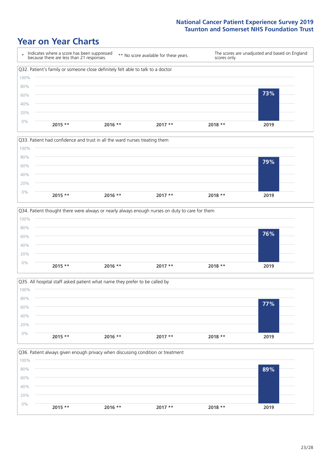







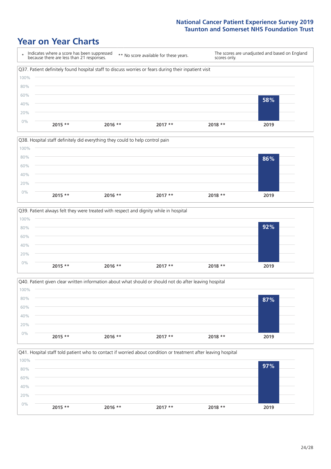







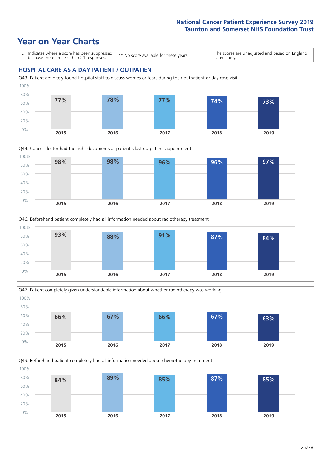







Q49. Beforehand patient completely had all information needed about chemotherapy treatment 0% 20% 40% 60% 80% 100% **2015 2016 2017 2018 2019 84% 89% 85% 87% 85%**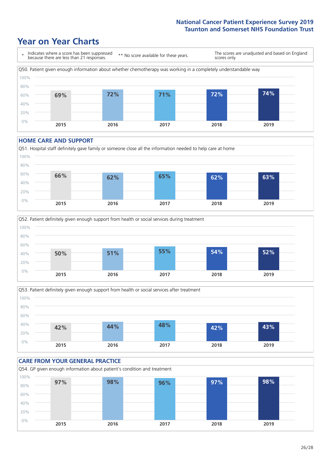# **Year on Year Charts**



#### **HOME CARE AND SUPPORT**







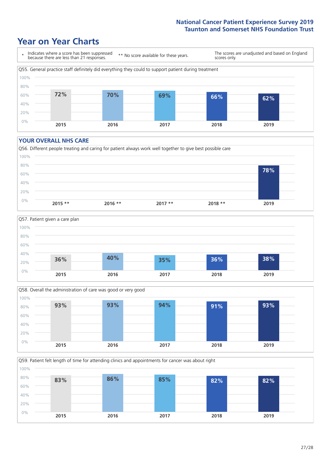# **Year on Year Charts**



#### **YOUR OVERALL NHS CARE**